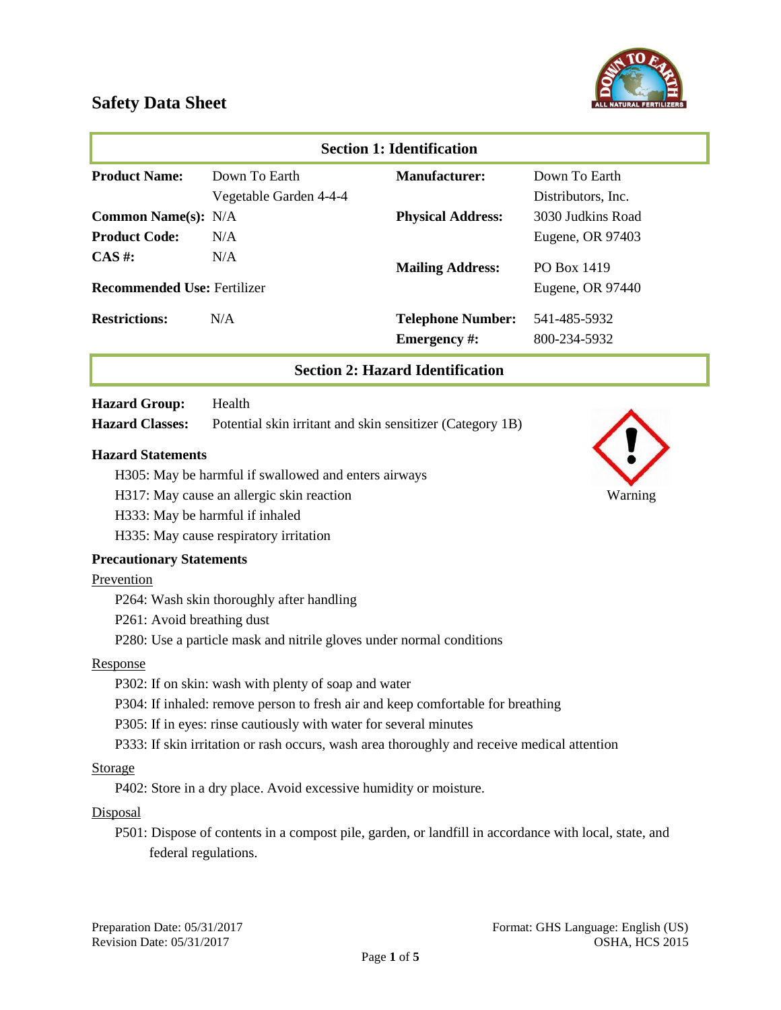



| <b>Section 1: Identification</b>   |                        |                                                 |                              |
|------------------------------------|------------------------|-------------------------------------------------|------------------------------|
| <b>Product Name:</b>               | Down To Earth          | <b>Manufacturer:</b>                            | Down To Earth                |
|                                    | Vegetable Garden 4-4-4 |                                                 | Distributors, Inc.           |
| <b>Common Name(s): N/A</b>         |                        | <b>Physical Address:</b>                        | 3030 Judkins Road            |
| <b>Product Code:</b>               | N/A                    |                                                 | Eugene, OR 97403             |
| $CAS \#$ :                         | N/A                    | <b>Mailing Address:</b>                         | PO Box 1419                  |
| <b>Recommended Use: Fertilizer</b> |                        |                                                 | Eugene, OR 97440             |
| <b>Restrictions:</b>               | N/A                    | <b>Telephone Number:</b><br><b>Emergency</b> #: | 541-485-5932<br>800-234-5932 |

#### **Section 2: Hazard Identification**

#### **Hazard Group:** Health

**Hazard Classes:** Potential skin irritant and skin sensitizer (Category 1B)

#### **Hazard Statements**

- H305: May be harmful if swallowed and enters airways
- H317: May cause an allergic skin reaction Warning
- H333: May be harmful if inhaled
- H335: May cause respiratory irritation

#### **Precautionary Statements**

#### Prevention

- P264: Wash skin thoroughly after handling
- P261: Avoid breathing dust
- P280: Use a particle mask and nitrile gloves under normal conditions

#### Response

- P302: If on skin: wash with plenty of soap and water
- P304: If inhaled: remove person to fresh air and keep comfortable for breathing
- P305: If in eyes: rinse cautiously with water for several minutes
- P333: If skin irritation or rash occurs, wash area thoroughly and receive medical attention

#### Storage

P402: Store in a dry place. Avoid excessive humidity or moisture.

#### **Disposal**

P501: Dispose of contents in a compost pile, garden, or landfill in accordance with local, state, and federal regulations.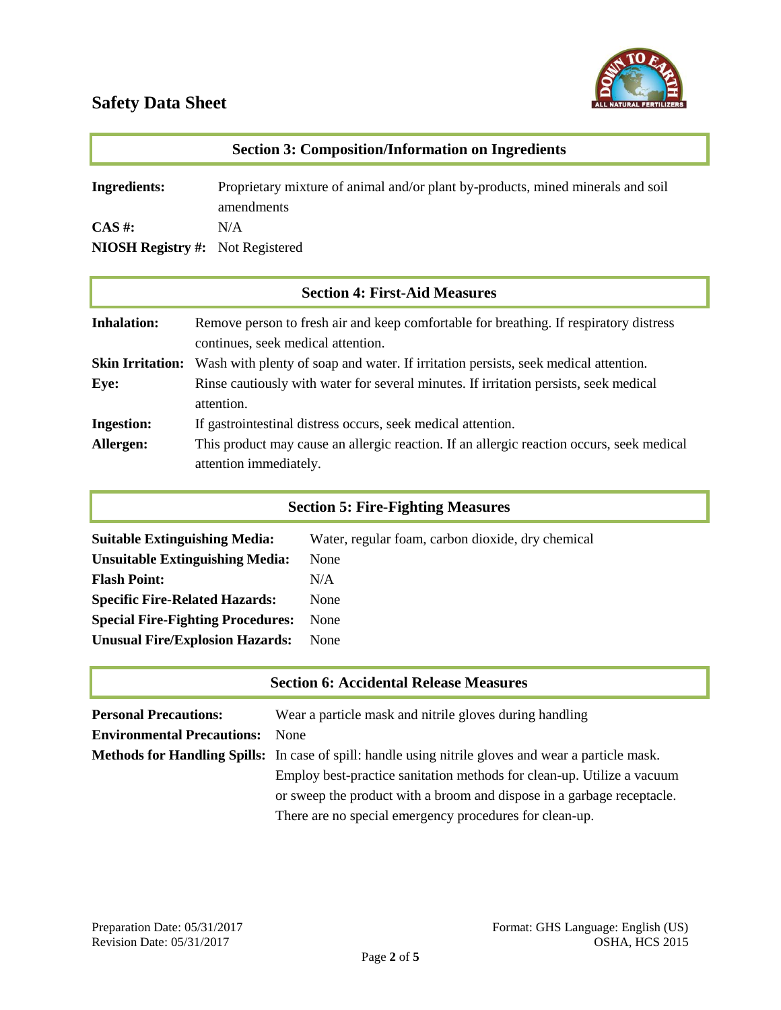

| <b>Section 3: Composition/Information on Ingredients</b>     |                                                                                               |  |
|--------------------------------------------------------------|-----------------------------------------------------------------------------------------------|--|
| <b>Ingredients:</b>                                          | Proprietary mixture of animal and/or plant by-products, mined minerals and soil<br>amendments |  |
| $\mathbf{CAS}$ #:<br><b>NIOSH Registry #:</b> Not Registered | N/A                                                                                           |  |

| <b>Section 4: First-Aid Measures</b> |                                                                                                                              |  |
|--------------------------------------|------------------------------------------------------------------------------------------------------------------------------|--|
| <b>Inhalation:</b>                   | Remove person to fresh air and keep comfortable for breathing. If respiratory distress<br>continues, seek medical attention. |  |
| <b>Skin Irritation:</b>              | Wash with plenty of soap and water. If irritation persists, seek medical attention.                                          |  |
| Eye:                                 | Rinse cautiously with water for several minutes. If irritation persists, seek medical<br>attention.                          |  |
| <b>Ingestion:</b>                    | If gastrointestinal distress occurs, seek medical attention.                                                                 |  |
| Allergen:                            | This product may cause an allergic reaction. If an allergic reaction occurs, seek medical<br>attention immediately.          |  |

# **Section 5: Fire-Fighting Measures**

| <b>Suitable Extinguishing Media:</b>     | Water, regular foam, carbon dioxide, dry chemical |
|------------------------------------------|---------------------------------------------------|
| <b>Unsuitable Extinguishing Media:</b>   | None                                              |
| <b>Flash Point:</b>                      | N/A                                               |
| <b>Specific Fire-Related Hazards:</b>    | None                                              |
| <b>Special Fire-Fighting Procedures:</b> | None                                              |
| <b>Unusual Fire/Explosion Hazards:</b>   | None                                              |

| <b>Section 6: Accidental Release Measures</b> |                                                                                                             |  |
|-----------------------------------------------|-------------------------------------------------------------------------------------------------------------|--|
| <b>Personal Precautions:</b>                  | Wear a particle mask and nitrile gloves during handling                                                     |  |
| <b>Environmental Precautions:</b>             | <b>None</b>                                                                                                 |  |
|                                               | <b>Methods for Handling Spills:</b> In case of spill: handle using nitrile gloves and wear a particle mask. |  |
|                                               | Employ best-practice sanitation methods for clean-up. Utilize a vacuum                                      |  |
|                                               | or sweep the product with a broom and dispose in a garbage receptacle.                                      |  |
|                                               | There are no special emergency procedures for clean-up.                                                     |  |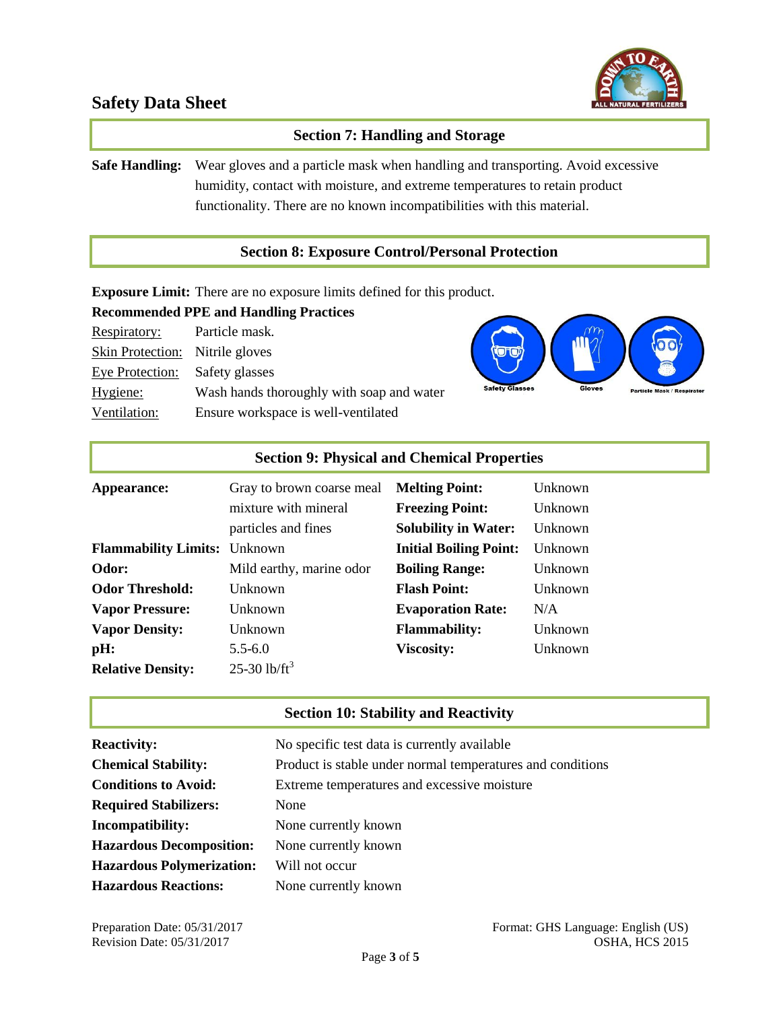

## **Section 7: Handling and Storage**

**Safe Handling:** Wear gloves and a particle mask when handling and transporting. Avoid excessive humidity, contact with moisture, and extreme temperatures to retain product functionality. There are no known incompatibilities with this material.

#### **Section 8: Exposure Control/Personal Protection**

**Exposure Limit:** There are no exposure limits defined for this product.

## **Recommended PPE and Handling Practices**

| Respiratory:                           | Particle mask.                            |
|----------------------------------------|-------------------------------------------|
| <b>Skin Protection:</b> Nitrile gloves |                                           |
| Eye Protection:                        | Safety glasses                            |
| Hygiene:                               | Wash hands thoroughly with soap and water |
| Ventilation:                           | Ensure workspace is well-ventilated       |



| <b>Section 9: Physical and Chemical Properties</b> |                                             |                                                       |                    |
|----------------------------------------------------|---------------------------------------------|-------------------------------------------------------|--------------------|
| Appearance:                                        | Gray to brown coarse meal                   | <b>Melting Point:</b>                                 | Unknown            |
|                                                    | mixture with mineral<br>particles and fines | <b>Freezing Point:</b><br><b>Solubility in Water:</b> | Unknown<br>Unknown |
| <b>Flammability Limits:</b> Unknown                |                                             | <b>Initial Boiling Point:</b>                         | Unknown            |
| Odor:                                              | Mild earthy, marine odor                    | <b>Boiling Range:</b>                                 | Unknown            |
| <b>Odor Threshold:</b>                             | Unknown                                     | <b>Flash Point:</b>                                   | Unknown            |
| <b>Vapor Pressure:</b>                             | <b>Unknown</b>                              | <b>Evaporation Rate:</b>                              | N/A                |
| <b>Vapor Density:</b>                              | Unknown                                     | <b>Flammability:</b>                                  | Unknown            |
| pH:                                                | $5.5 - 6.0$                                 | <b>Viscosity:</b>                                     | Unknown            |
| <b>Relative Density:</b>                           | 25-30 lb/ft <sup>3</sup>                    |                                                       |                    |

#### **Section 10: Stability and Reactivity**

| <b>Reactivity:</b>               | No specific test data is currently available               |
|----------------------------------|------------------------------------------------------------|
| <b>Chemical Stability:</b>       | Product is stable under normal temperatures and conditions |
| <b>Conditions to Avoid:</b>      | Extreme temperatures and excessive moisture                |
| <b>Required Stabilizers:</b>     | None                                                       |
| Incompatibility:                 | None currently known                                       |
| <b>Hazardous Decomposition:</b>  | None currently known                                       |
| <b>Hazardous Polymerization:</b> | Will not occur                                             |
| <b>Hazardous Reactions:</b>      | None currently known                                       |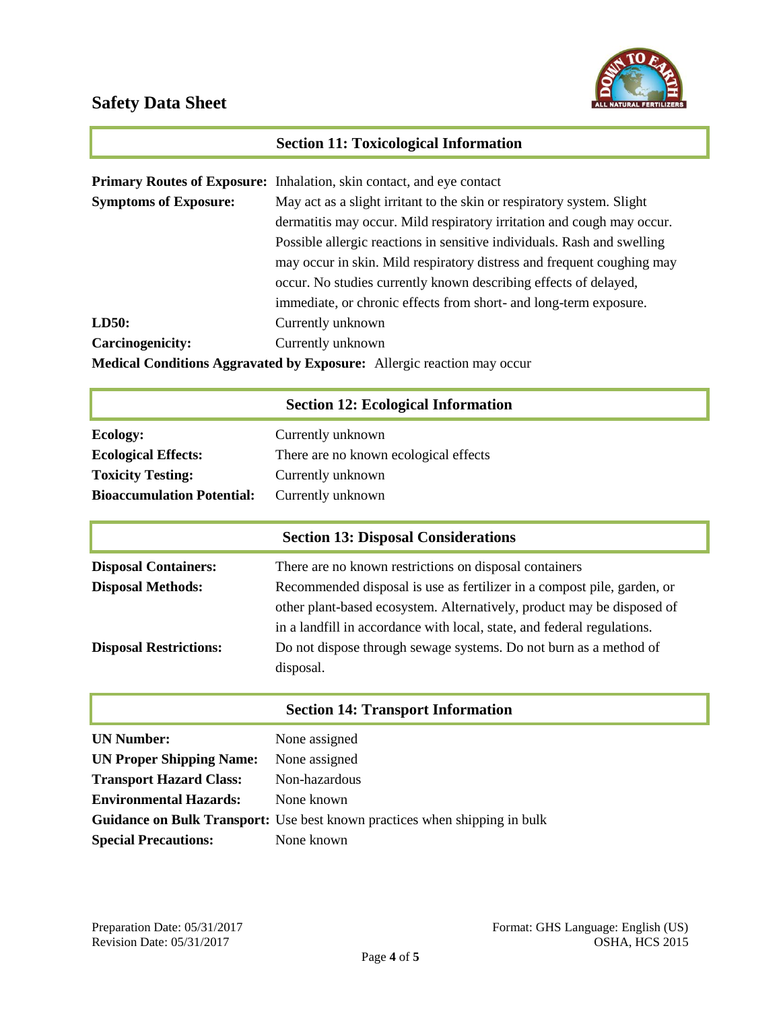

# **Section 11: Toxicological Information**

|                                                                               | <b>Primary Routes of Exposure:</b> Inhalation, skin contact, and eye contact |  |
|-------------------------------------------------------------------------------|------------------------------------------------------------------------------|--|
| <b>Symptoms of Exposure:</b>                                                  | May act as a slight irritant to the skin or respiratory system. Slight       |  |
|                                                                               | dermatitis may occur. Mild respiratory irritation and cough may occur.       |  |
|                                                                               | Possible allergic reactions in sensitive individuals. Rash and swelling      |  |
|                                                                               | may occur in skin. Mild respiratory distress and frequent coughing may       |  |
|                                                                               | occur. No studies currently known describing effects of delayed,             |  |
|                                                                               | immediate, or chronic effects from short- and long-term exposure.            |  |
| LD50:                                                                         | Currently unknown                                                            |  |
| <b>Carcinogenicity:</b>                                                       | Currently unknown                                                            |  |
| <b>Medical Conditions Aggravated by Exposure:</b> Allergic reaction may occur |                                                                              |  |

# **Section 12: Ecological Information**

| Ecology:                          | Currently unknown                     |
|-----------------------------------|---------------------------------------|
| <b>Ecological Effects:</b>        | There are no known ecological effects |
| <b>Toxicity Testing:</b>          | Currently unknown                     |
| <b>Bioaccumulation Potential:</b> | Currently unknown                     |

|                               | <b>Section 13: Disposal Considerations</b>                              |
|-------------------------------|-------------------------------------------------------------------------|
| <b>Disposal Containers:</b>   | There are no known restrictions on disposal containers                  |
| <b>Disposal Methods:</b>      | Recommended disposal is use as fertilizer in a compost pile, garden, or |
|                               | other plant-based ecosystem. Alternatively, product may be disposed of  |
|                               | in a landfill in accordance with local, state, and federal regulations. |
| <b>Disposal Restrictions:</b> | Do not dispose through sewage systems. Do not burn as a method of       |
|                               | disposal.                                                               |

## **Section 14: Transport Information**

| <b>UN Number:</b>               | None assigned                                                                     |
|---------------------------------|-----------------------------------------------------------------------------------|
| <b>UN Proper Shipping Name:</b> | None assigned                                                                     |
| <b>Transport Hazard Class:</b>  | Non-hazardous                                                                     |
| <b>Environmental Hazards:</b>   | None known                                                                        |
|                                 | <b>Guidance on Bulk Transport:</b> Use best known practices when shipping in bulk |
| <b>Special Precautions:</b>     | None known                                                                        |